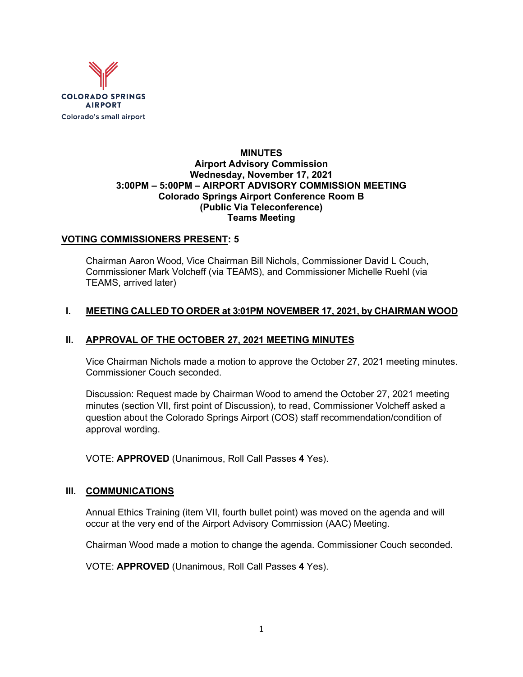

### **MINUTES Airport Advisory Commission Wednesday, November 17, 2021 3:00PM – 5:00PM – AIRPORT ADVISORY COMMISSION MEETING Colorado Springs Airport Conference Room B (Public Via Teleconference) Teams Meeting**

## **VOTING COMMISSIONERS PRESENT: 5**

Chairman Aaron Wood, Vice Chairman Bill Nichols, Commissioner David L Couch, Commissioner Mark Volcheff (via TEAMS), and Commissioner Michelle Ruehl (via TEAMS, arrived later)

### **I. MEETING CALLED TO ORDER at 3:01PM NOVEMBER 17, 2021, by CHAIRMAN WOOD**

## **II. APPROVAL OF THE OCTOBER 27, 2021 MEETING MINUTES**

Vice Chairman Nichols made a motion to approve the October 27, 2021 meeting minutes. Commissioner Couch seconded.

Discussion: Request made by Chairman Wood to amend the October 27, 2021 meeting minutes (section VII, first point of Discussion), to read, Commissioner Volcheff asked a question about the Colorado Springs Airport (COS) staff recommendation/condition of approval wording.

VOTE: **APPROVED** (Unanimous, Roll Call Passes **4** Yes).

#### **III. COMMUNICATIONS**

Annual Ethics Training (item VII, fourth bullet point) was moved on the agenda and will occur at the very end of the Airport Advisory Commission (AAC) Meeting.

Chairman Wood made a motion to change the agenda. Commissioner Couch seconded.

VOTE: **APPROVED** (Unanimous, Roll Call Passes **4** Yes).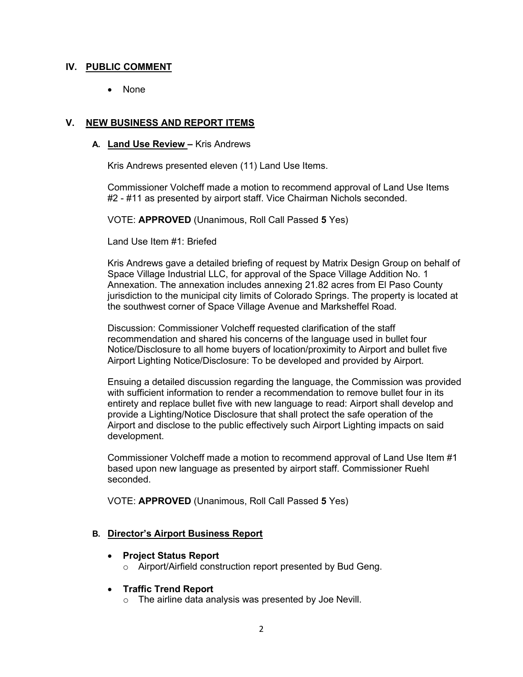### **IV. PUBLIC COMMENT**

• None

## **V. NEW BUSINESS AND REPORT ITEMS**

### **A. Land Use Review –** Kris Andrews

Kris Andrews presented eleven (11) Land Use Items.

Commissioner Volcheff made a motion to recommend approval of Land Use Items #2 - #11 as presented by airport staff. Vice Chairman Nichols seconded.

VOTE: **APPROVED** (Unanimous, Roll Call Passed **5** Yes)

Land Use Item #1: Briefed

Kris Andrews gave a detailed briefing of request by Matrix Design Group on behalf of Space Village Industrial LLC, for approval of the Space Village Addition No. 1 Annexation. The annexation includes annexing 21.82 acres from El Paso County jurisdiction to the municipal city limits of Colorado Springs. The property is located at the southwest corner of Space Village Avenue and Marksheffel Road.

Discussion: Commissioner Volcheff requested clarification of the staff recommendation and shared his concerns of the language used in bullet four Notice/Disclosure to all home buyers of location/proximity to Airport and bullet five Airport Lighting Notice/Disclosure: To be developed and provided by Airport.

Ensuing a detailed discussion regarding the language, the Commission was provided with sufficient information to render a recommendation to remove bullet four in its entirety and replace bullet five with new language to read: Airport shall develop and provide a Lighting/Notice Disclosure that shall protect the safe operation of the Airport and disclose to the public effectively such Airport Lighting impacts on said development.

Commissioner Volcheff made a motion to recommend approval of Land Use Item #1 based upon new language as presented by airport staff. Commissioner Ruehl seconded.

VOTE: **APPROVED** (Unanimous, Roll Call Passed **5** Yes)

## **B. Director's Airport Business Report**

- **Project Status Report** 
	- o Airport/Airfield construction report presented by Bud Geng.

#### • **Traffic Trend Report**

o The airline data analysis was presented by Joe Nevill.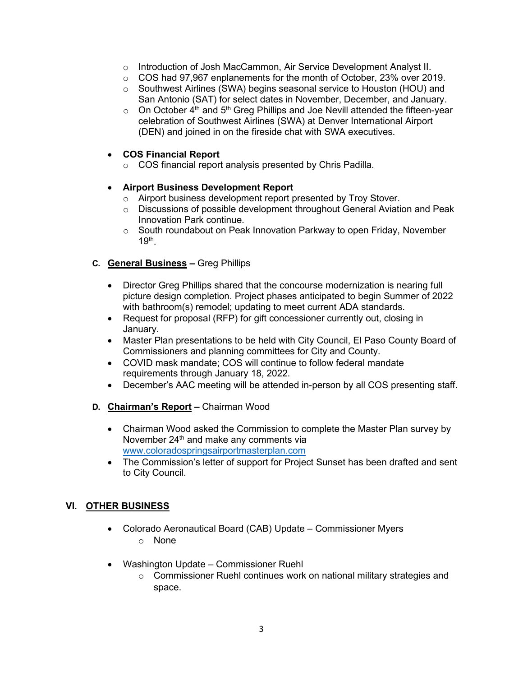- o Introduction of Josh MacCammon, Air Service Development Analyst II.
- $\circ$  COS had 97,967 enplanements for the month of October, 23% over 2019.
- o Southwest Airlines (SWA) begins seasonal service to Houston (HOU) and San Antonio (SAT) for select dates in November, December, and January.
- $\circ$  On October 4<sup>th</sup> and 5<sup>th</sup> Greg Phillips and Joe Nevill attended the fifteen-year celebration of Southwest Airlines (SWA) at Denver International Airport (DEN) and joined in on the fireside chat with SWA executives.

# • **COS Financial Report**

o COS financial report analysis presented by Chris Padilla.

## • **Airport Business Development Report**

- o Airport business development report presented by Troy Stover.
- o Discussions of possible development throughout General Aviation and Peak Innovation Park continue.
- $\circ$  South roundabout on Peak Innovation Parkway to open Friday, November  $19<sup>th</sup>$ .

## **C. General Business –** Greg Phillips

- Director Greg Phillips shared that the concourse modernization is nearing full picture design completion. Project phases anticipated to begin Summer of 2022 with bathroom(s) remodel; updating to meet current ADA standards.
- Request for proposal (RFP) for gift concessioner currently out, closing in January.
- Master Plan presentations to be held with City Council, El Paso County Board of Commissioners and planning committees for City and County.
- COVID mask mandate; COS will continue to follow federal mandate requirements through January 18, 2022.
- December's AAC meeting will be attended in-person by all COS presenting staff.
- **D. Chairman's Report –** Chairman Wood
	- Chairman Wood asked the Commission to complete the Master Plan survey by November 24<sup>th</sup> and make any comments via [www.coloradospringsairportmasterplan.com](http://www.coloradospringsairportmasterplan.com/)
	- The Commission's letter of support for Project Sunset has been drafted and sent to City Council.

## **VI. OTHER BUSINESS**

- Colorado Aeronautical Board (CAB) Update Commissioner Myers
	- o None
- Washington Update Commissioner Ruehl
	- o Commissioner Ruehl continues work on national military strategies and space.